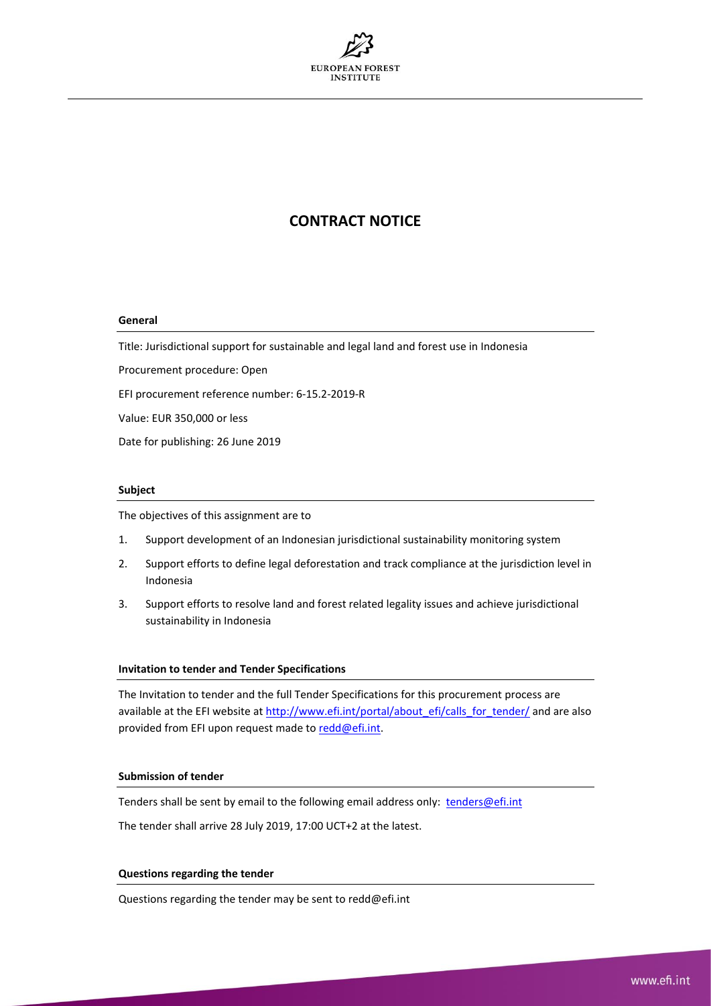

# **CONTRACT NOTICE**

### **General**

Title: Jurisdictional support for sustainable and legal land and forest use in Indonesia

Procurement procedure: Open

EFI procurement reference number: 6-15.2-2019-R

Value: EUR 350,000 or less

Date for publishing: 26 June 2019

# **Subject**

The objectives of this assignment are to

- 1. Support development of an Indonesian jurisdictional sustainability monitoring system
- 2. Support efforts to define legal deforestation and track compliance at the jurisdiction level in Indonesia
- 3. Support efforts to resolve land and forest related legality issues and achieve jurisdictional sustainability in Indonesia

#### **Invitation to tender and Tender Specifications**

The Invitation to tender and the full Tender Specifications for this procurement process are available at the EFI website a[t http://www.efi.int/portal/about\\_efi/calls\\_for\\_tender/](http://www.efi.int/portal/about_efi/calls_for_tender/) and are also provided from EFI upon request made to [redd@efi.int.](mailto:redd@efi.int)

# **Submission of tender**

Tenders shall be sent by email to the following email address only: [tenders@efi.int](mailto:tenders@efi.int)

The tender shall arrive 28 July 2019, 17:00 UCT+2 at the latest.

### **Questions regarding the tender**

Questions regarding the tender may be sent to redd@efi.int